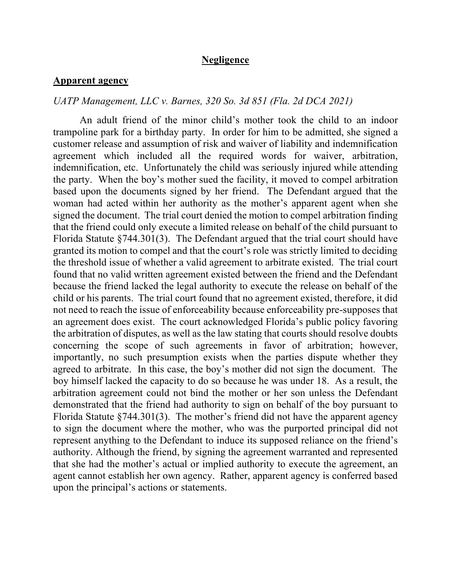### **Negligence**

#### **Apparent agency**

#### *UATP Management, LLC v. Barnes, 320 So. 3d 851 (Fla. 2d DCA 2021)*

An adult friend of the minor child's mother took the child to an indoor trampoline park for a birthday party. In order for him to be admitted, she signed a customer release and assumption of risk and waiver of liability and indemnification agreement which included all the required words for waiver, arbitration, indemnification, etc. Unfortunately the child was seriously injured while attending the party. When the boy's mother sued the facility, it moved to compel arbitration based upon the documents signed by her friend. The Defendant argued that the woman had acted within her authority as the mother's apparent agent when she signed the document. The trial court denied the motion to compel arbitration finding that the friend could only execute a limited release on behalf of the child pursuant to Florida Statute §744.301(3). The Defendant argued that the trial court should have granted its motion to compel and that the court's role was strictly limited to deciding the threshold issue of whether a valid agreement to arbitrate existed. The trial court found that no valid written agreement existed between the friend and the Defendant because the friend lacked the legal authority to execute the release on behalf of the child or his parents. The trial court found that no agreement existed, therefore, it did not need to reach the issue of enforceability because enforceability pre-supposes that an agreement does exist. The court acknowledged Florida's public policy favoring the arbitration of disputes, as well as the law stating that courts should resolve doubts concerning the scope of such agreements in favor of arbitration; however, importantly, no such presumption exists when the parties dispute whether they agreed to arbitrate. In this case, the boy's mother did not sign the document. The boy himself lacked the capacity to do so because he was under 18. As a result, the arbitration agreement could not bind the mother or her son unless the Defendant demonstrated that the friend had authority to sign on behalf of the boy pursuant to Florida Statute §744.301(3). The mother's friend did not have the apparent agency to sign the document where the mother, who was the purported principal did not represent anything to the Defendant to induce its supposed reliance on the friend's authority. Although the friend, by signing the agreement warranted and represented that she had the mother's actual or implied authority to execute the agreement, an agent cannot establish her own agency. Rather, apparent agency is conferred based upon the principal's actions or statements.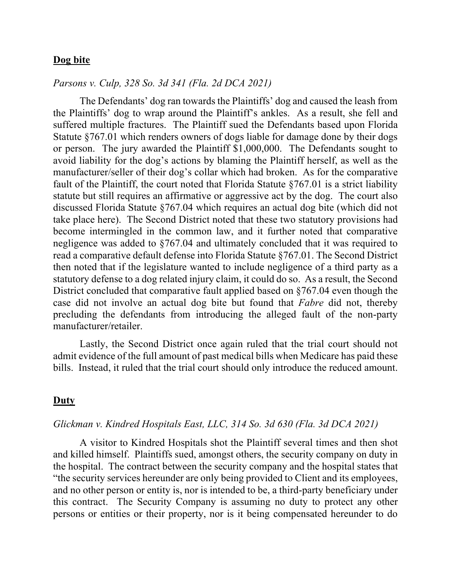# **Dog bite**

#### *Parsons v. Culp, 328 So. 3d 341 (Fla. 2d DCA 2021)*

The Defendants' dog ran towards the Plaintiffs' dog and caused the leash from the Plaintiffs' dog to wrap around the Plaintiff's ankles. As a result, she fell and suffered multiple fractures. The Plaintiff sued the Defendants based upon Florida Statute §767.01 which renders owners of dogs liable for damage done by their dogs or person. The jury awarded the Plaintiff \$1,000,000. The Defendants sought to avoid liability for the dog's actions by blaming the Plaintiff herself, as well as the manufacturer/seller of their dog's collar which had broken. As for the comparative fault of the Plaintiff, the court noted that Florida Statute §767.01 is a strict liability statute but still requires an affirmative or aggressive act by the dog. The court also discussed Florida Statute §767.04 which requires an actual dog bite (which did not take place here). The Second District noted that these two statutory provisions had become intermingled in the common law, and it further noted that comparative negligence was added to §767.04 and ultimately concluded that it was required to read a comparative default defense into Florida Statute §767.01. The Second District then noted that if the legislature wanted to include negligence of a third party as a statutory defense to a dog related injury claim, it could do so. As a result, the Second District concluded that comparative fault applied based on §767.04 even though the case did not involve an actual dog bite but found that *Fabre* did not, thereby precluding the defendants from introducing the alleged fault of the non-party manufacturer/retailer.

Lastly, the Second District once again ruled that the trial court should not admit evidence of the full amount of past medical bills when Medicare has paid these bills. Instead, it ruled that the trial court should only introduce the reduced amount.

#### **Duty**

#### *Glickman v. Kindred Hospitals East, LLC, 314 So. 3d 630 (Fla. 3d DCA 2021)*

A visitor to Kindred Hospitals shot the Plaintiff several times and then shot and killed himself. Plaintiffs sued, amongst others, the security company on duty in the hospital. The contract between the security company and the hospital states that "the security services hereunder are only being provided to Client and its employees, and no other person or entity is, nor is intended to be, a third-party beneficiary under this contract. The Security Company is assuming no duty to protect any other persons or entities or their property, nor is it being compensated hereunder to do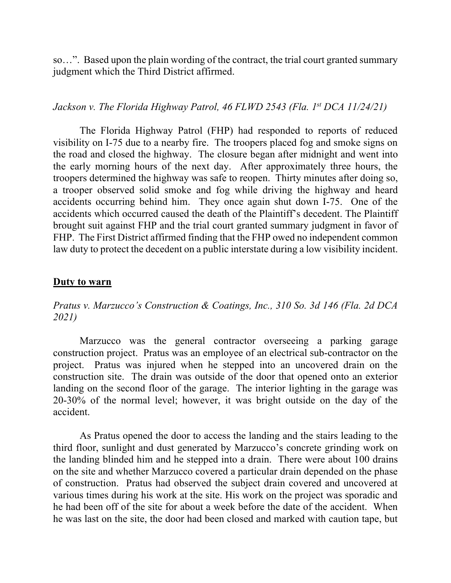so…". Based upon the plain wording of the contract, the trial court granted summary judgment which the Third District affirmed.

## *Jackson v. The Florida Highway Patrol, 46 FLWD 2543 (Fla. 1st DCA 11/24/21)*

The Florida Highway Patrol (FHP) had responded to reports of reduced visibility on I-75 due to a nearby fire. The troopers placed fog and smoke signs on the road and closed the highway. The closure began after midnight and went into the early morning hours of the next day. After approximately three hours, the troopers determined the highway was safe to reopen. Thirty minutes after doing so, a trooper observed solid smoke and fog while driving the highway and heard accidents occurring behind him. They once again shut down I-75. One of the accidents which occurred caused the death of the Plaintiff's decedent. The Plaintiff brought suit against FHP and the trial court granted summary judgment in favor of FHP. The First District affirmed finding that the FHP owed no independent common law duty to protect the decedent on a public interstate during a low visibility incident.

#### **Duty to warn**

*Pratus v. Marzucco's Construction & Coatings, Inc., 310 So. 3d 146 (Fla. 2d DCA 2021)* 

Marzucco was the general contractor overseeing a parking garage construction project. Pratus was an employee of an electrical sub-contractor on the project. Pratus was injured when he stepped into an uncovered drain on the construction site. The drain was outside of the door that opened onto an exterior landing on the second floor of the garage. The interior lighting in the garage was 20-30% of the normal level; however, it was bright outside on the day of the accident.

As Pratus opened the door to access the landing and the stairs leading to the third floor, sunlight and dust generated by Marzucco's concrete grinding work on the landing blinded him and he stepped into a drain. There were about 100 drains on the site and whether Marzucco covered a particular drain depended on the phase of construction. Pratus had observed the subject drain covered and uncovered at various times during his work at the site. His work on the project was sporadic and he had been off of the site for about a week before the date of the accident. When he was last on the site, the door had been closed and marked with caution tape, but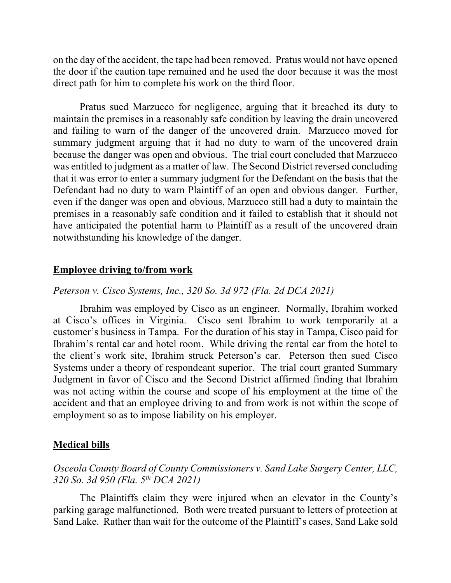on the day of the accident, the tape had been removed. Pratus would not have opened the door if the caution tape remained and he used the door because it was the most direct path for him to complete his work on the third floor.

Pratus sued Marzucco for negligence, arguing that it breached its duty to maintain the premises in a reasonably safe condition by leaving the drain uncovered and failing to warn of the danger of the uncovered drain. Marzucco moved for summary judgment arguing that it had no duty to warn of the uncovered drain because the danger was open and obvious. The trial court concluded that Marzucco was entitled to judgment as a matter of law. The Second District reversed concluding that it was error to enter a summary judgment for the Defendant on the basis that the Defendant had no duty to warn Plaintiff of an open and obvious danger. Further, even if the danger was open and obvious, Marzucco still had a duty to maintain the premises in a reasonably safe condition and it failed to establish that it should not have anticipated the potential harm to Plaintiff as a result of the uncovered drain notwithstanding his knowledge of the danger.

### **Employee driving to/from work**

#### *Peterson v. Cisco Systems, Inc., 320 So. 3d 972 (Fla. 2d DCA 2021)*

Ibrahim was employed by Cisco as an engineer. Normally, Ibrahim worked at Cisco's offices in Virginia. Cisco sent Ibrahim to work temporarily at a customer's business in Tampa. For the duration of his stay in Tampa, Cisco paid for Ibrahim's rental car and hotel room. While driving the rental car from the hotel to the client's work site, Ibrahim struck Peterson's car. Peterson then sued Cisco Systems under a theory of respondeant superior. The trial court granted Summary Judgment in favor of Cisco and the Second District affirmed finding that Ibrahim was not acting within the course and scope of his employment at the time of the accident and that an employee driving to and from work is not within the scope of employment so as to impose liability on his employer.

#### **Medical bills**

# *Osceola County Board of County Commissioners v. Sand Lake Surgery Center, LLC, 320 So. 3d 950 (Fla. 5th DCA 2021)*

The Plaintiffs claim they were injured when an elevator in the County's parking garage malfunctioned. Both were treated pursuant to letters of protection at Sand Lake. Rather than wait for the outcome of the Plaintiff's cases, Sand Lake sold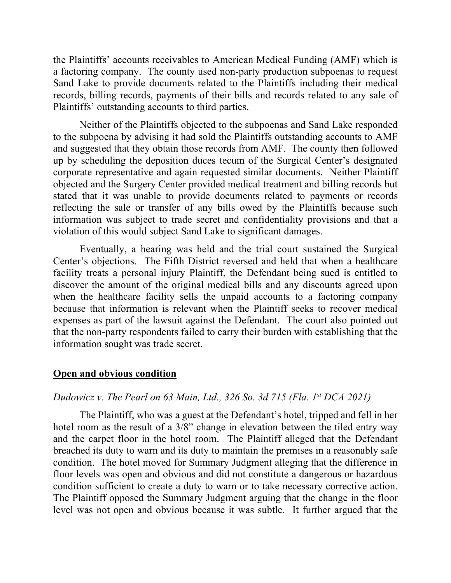the Plaintiffs' accounts receivables to American Medical Funding (AMF) which is a factoring company. The county used non-party production subpoenas to request Sand Lake to provide documents related to the Plaintiffs including their medical records, billing records, payments of their bills and records related to any sale of Plaintiffs' outstanding accounts to third parties.

Neither of the Plaintiffs objected to the subpoenas and Sand Lake responded to the subpoena by advising it had sold the Plaintiffs outstanding accounts to AMF and suggested that they obtain those records from AMF. The county then followed up by scheduling the deposition duces tecum of the Surgical Center's designated corporate representative and again requested similar documents. Neither Plaintiff objected and the Surgery Center provided medical treatment and billing records but stated that it was unable to provide documents related to payments or records reflecting the sale or transfer of any bills owed by the Plaintiffs because such information was subject to trade secret and confidentiality provisions and that a violation of this would subject Sand Lake to significant damages.

Eventually, a hearing was held and the trial court sustained the Surgical Center's objections. The Fifth District reversed and held that when a healthcare facility treats a personal injury Plaintiff, the Defendant being sued is entitled to discover the amount of the original medical bills and any discounts agreed upon when the healthcare facility sells the unpaid accounts to a factoring company because that information is relevant when the Plaintiff seeks to recover medical expenses as part of the lawsuit against the Defendant. The court also pointed out that the non-party respondents failed to carry their burden with establishing that the information sought was trade secret.

## **Open and obvious condition**

## *Dudowicz v. The Pearl on 63 Main, Ltd., 326 So. 3d 715 (Fla. 1st DCA 2021)*

The Plaintiff, who was a guest at the Defendant's hotel, tripped and fell in her hotel room as the result of a 3/8" change in elevation between the tiled entry way and the carpet floor in the hotel room. The Plaintiff alleged that the Defendant breached its duty to warn and its duty to maintain the premises in a reasonably safe condition. The hotel moved for Summary Judgment alleging that the difference in floor levels was open and obvious and did not constitute a dangerous or hazardous condition sufficient to create a duty to warn or to take necessary corrective action. The Plaintiff opposed the Summary Judgment arguing that the change in the floor level was not open and obvious because it was subtle. It further argued that the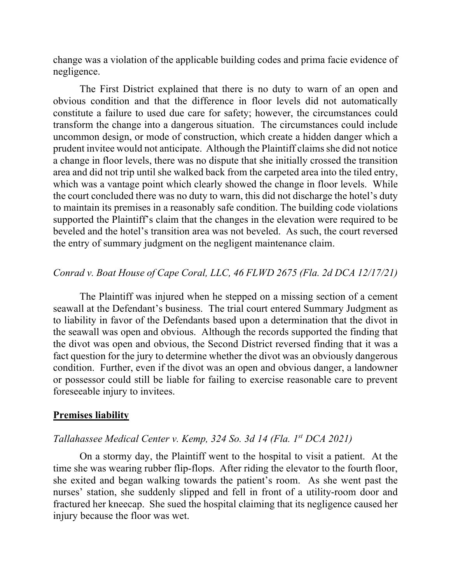change was a violation of the applicable building codes and prima facie evidence of negligence.

The First District explained that there is no duty to warn of an open and obvious condition and that the difference in floor levels did not automatically constitute a failure to used due care for safety; however, the circumstances could transform the change into a dangerous situation. The circumstances could include uncommon design, or mode of construction, which create a hidden danger which a prudent invitee would not anticipate. Although the Plaintiff claims she did not notice a change in floor levels, there was no dispute that she initially crossed the transition area and did not trip until she walked back from the carpeted area into the tiled entry, which was a vantage point which clearly showed the change in floor levels. While the court concluded there was no duty to warn, this did not discharge the hotel's duty to maintain its premises in a reasonably safe condition. The building code violations supported the Plaintiff's claim that the changes in the elevation were required to be beveled and the hotel's transition area was not beveled. As such, the court reversed the entry of summary judgment on the negligent maintenance claim.

# *Conrad v. Boat House of Cape Coral, LLC, 46 FLWD 2675 (Fla. 2d DCA 12/17/21)*

The Plaintiff was injured when he stepped on a missing section of a cement seawall at the Defendant's business. The trial court entered Summary Judgment as to liability in favor of the Defendants based upon a determination that the divot in the seawall was open and obvious. Although the records supported the finding that the divot was open and obvious, the Second District reversed finding that it was a fact question for the jury to determine whether the divot was an obviously dangerous condition. Further, even if the divot was an open and obvious danger, a landowner or possessor could still be liable for failing to exercise reasonable care to prevent foreseeable injury to invitees.

#### **Premises liability**

### *Tallahassee Medical Center v. Kemp, 324 So. 3d 14 (Fla. 1st DCA 2021)*

On a stormy day, the Plaintiff went to the hospital to visit a patient. At the time she was wearing rubber flip-flops. After riding the elevator to the fourth floor, she exited and began walking towards the patient's room. As she went past the nurses' station, she suddenly slipped and fell in front of a utility-room door and fractured her kneecap. She sued the hospital claiming that its negligence caused her injury because the floor was wet.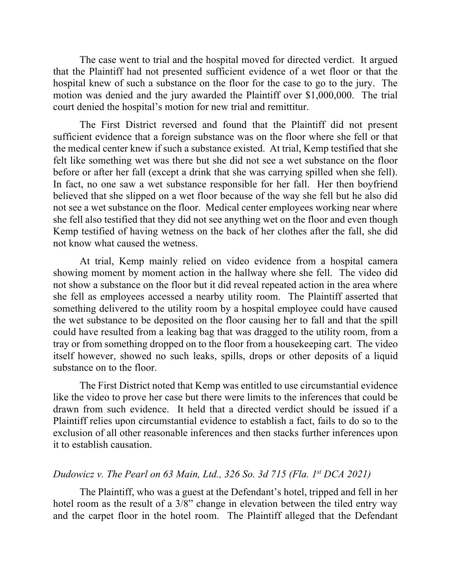The case went to trial and the hospital moved for directed verdict. It argued that the Plaintiff had not presented sufficient evidence of a wet floor or that the hospital knew of such a substance on the floor for the case to go to the jury. The motion was denied and the jury awarded the Plaintiff over \$1,000,000. The trial court denied the hospital's motion for new trial and remittitur.

The First District reversed and found that the Plaintiff did not present sufficient evidence that a foreign substance was on the floor where she fell or that the medical center knew if such a substance existed. At trial, Kemp testified that she felt like something wet was there but she did not see a wet substance on the floor before or after her fall (except a drink that she was carrying spilled when she fell). In fact, no one saw a wet substance responsible for her fall. Her then boyfriend believed that she slipped on a wet floor because of the way she fell but he also did not see a wet substance on the floor. Medical center employees working near where she fell also testified that they did not see anything wet on the floor and even though Kemp testified of having wetness on the back of her clothes after the fall, she did not know what caused the wetness.

At trial, Kemp mainly relied on video evidence from a hospital camera showing moment by moment action in the hallway where she fell. The video did not show a substance on the floor but it did reveal repeated action in the area where she fell as employees accessed a nearby utility room. The Plaintiff asserted that something delivered to the utility room by a hospital employee could have caused the wet substance to be deposited on the floor causing her to fall and that the spill could have resulted from a leaking bag that was dragged to the utility room, from a tray or from something dropped on to the floor from a housekeeping cart. The video itself however, showed no such leaks, spills, drops or other deposits of a liquid substance on to the floor.

The First District noted that Kemp was entitled to use circumstantial evidence like the video to prove her case but there were limits to the inferences that could be drawn from such evidence. It held that a directed verdict should be issued if a Plaintiff relies upon circumstantial evidence to establish a fact, fails to do so to the exclusion of all other reasonable inferences and then stacks further inferences upon it to establish causation.

# *Dudowicz v. The Pearl on 63 Main, Ltd., 326 So. 3d 715 (Fla. 1st DCA 2021)*

The Plaintiff, who was a guest at the Defendant's hotel, tripped and fell in her hotel room as the result of a 3/8" change in elevation between the tiled entry way and the carpet floor in the hotel room. The Plaintiff alleged that the Defendant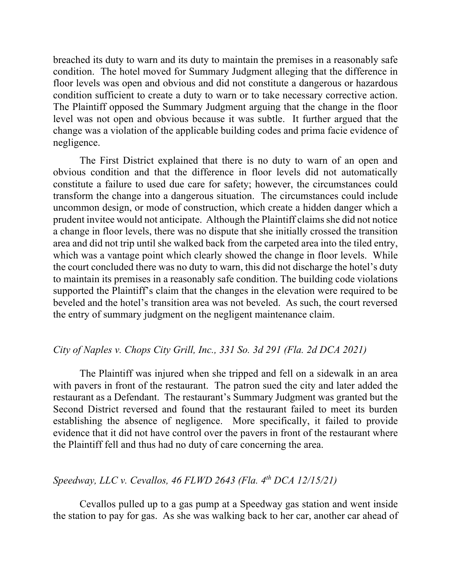breached its duty to warn and its duty to maintain the premises in a reasonably safe condition. The hotel moved for Summary Judgment alleging that the difference in floor levels was open and obvious and did not constitute a dangerous or hazardous condition sufficient to create a duty to warn or to take necessary corrective action. The Plaintiff opposed the Summary Judgment arguing that the change in the floor level was not open and obvious because it was subtle. It further argued that the change was a violation of the applicable building codes and prima facie evidence of negligence.

The First District explained that there is no duty to warn of an open and obvious condition and that the difference in floor levels did not automatically constitute a failure to used due care for safety; however, the circumstances could transform the change into a dangerous situation. The circumstances could include uncommon design, or mode of construction, which create a hidden danger which a prudent invitee would not anticipate. Although the Plaintiff claims she did not notice a change in floor levels, there was no dispute that she initially crossed the transition area and did not trip until she walked back from the carpeted area into the tiled entry, which was a vantage point which clearly showed the change in floor levels. While the court concluded there was no duty to warn, this did not discharge the hotel's duty to maintain its premises in a reasonably safe condition. The building code violations supported the Plaintiff's claim that the changes in the elevation were required to be beveled and the hotel's transition area was not beveled. As such, the court reversed the entry of summary judgment on the negligent maintenance claim.

# *City of Naples v. Chops City Grill, Inc., 331 So. 3d 291 (Fla. 2d DCA 2021)*

The Plaintiff was injured when she tripped and fell on a sidewalk in an area with pavers in front of the restaurant. The patron sued the city and later added the restaurant as a Defendant. The restaurant's Summary Judgment was granted but the Second District reversed and found that the restaurant failed to meet its burden establishing the absence of negligence. More specifically, it failed to provide evidence that it did not have control over the pavers in front of the restaurant where the Plaintiff fell and thus had no duty of care concerning the area.

# *Speedway, LLC v. Cevallos, 46 FLWD 2643 (Fla. 4th DCA 12/15/21)*

Cevallos pulled up to a gas pump at a Speedway gas station and went inside the station to pay for gas. As she was walking back to her car, another car ahead of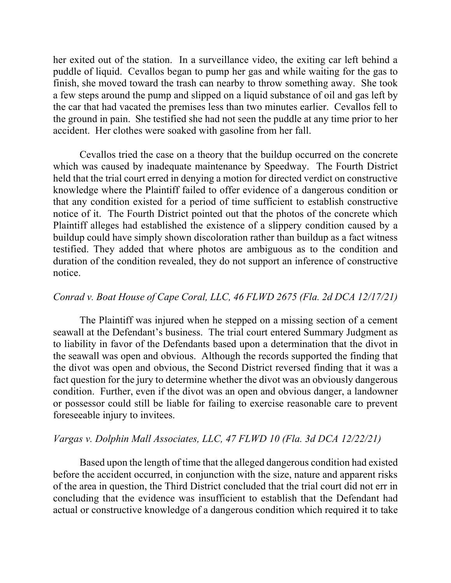her exited out of the station. In a surveillance video, the exiting car left behind a puddle of liquid. Cevallos began to pump her gas and while waiting for the gas to finish, she moved toward the trash can nearby to throw something away. She took a few steps around the pump and slipped on a liquid substance of oil and gas left by the car that had vacated the premises less than two minutes earlier. Cevallos fell to the ground in pain. She testified she had not seen the puddle at any time prior to her accident. Her clothes were soaked with gasoline from her fall.

Cevallos tried the case on a theory that the buildup occurred on the concrete which was caused by inadequate maintenance by Speedway. The Fourth District held that the trial court erred in denying a motion for directed verdict on constructive knowledge where the Plaintiff failed to offer evidence of a dangerous condition or that any condition existed for a period of time sufficient to establish constructive notice of it. The Fourth District pointed out that the photos of the concrete which Plaintiff alleges had established the existence of a slippery condition caused by a buildup could have simply shown discoloration rather than buildup as a fact witness testified. They added that where photos are ambiguous as to the condition and duration of the condition revealed, they do not support an inference of constructive notice.

# *Conrad v. Boat House of Cape Coral, LLC, 46 FLWD 2675 (Fla. 2d DCA 12/17/21)*

The Plaintiff was injured when he stepped on a missing section of a cement seawall at the Defendant's business. The trial court entered Summary Judgment as to liability in favor of the Defendants based upon a determination that the divot in the seawall was open and obvious. Although the records supported the finding that the divot was open and obvious, the Second District reversed finding that it was a fact question for the jury to determine whether the divot was an obviously dangerous condition. Further, even if the divot was an open and obvious danger, a landowner or possessor could still be liable for failing to exercise reasonable care to prevent foreseeable injury to invitees.

# *Vargas v. Dolphin Mall Associates, LLC, 47 FLWD 10 (Fla. 3d DCA 12/22/21)*

Based upon the length of time that the alleged dangerous condition had existed before the accident occurred, in conjunction with the size, nature and apparent risks of the area in question, the Third District concluded that the trial court did not err in concluding that the evidence was insufficient to establish that the Defendant had actual or constructive knowledge of a dangerous condition which required it to take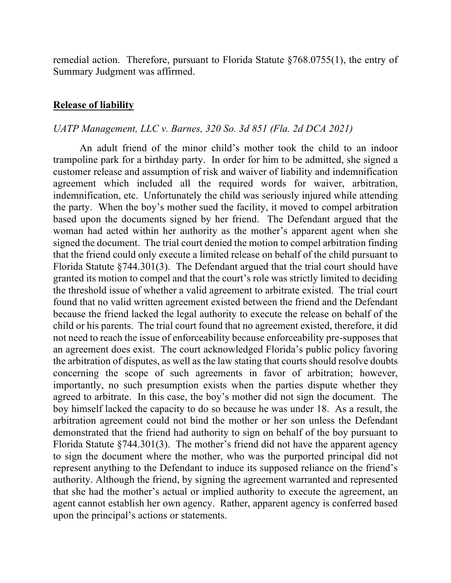remedial action. Therefore, pursuant to Florida Statute §768.0755(1), the entry of Summary Judgment was affirmed.

#### **Release of liability**

#### *UATP Management, LLC v. Barnes, 320 So. 3d 851 (Fla. 2d DCA 2021)*

An adult friend of the minor child's mother took the child to an indoor trampoline park for a birthday party. In order for him to be admitted, she signed a customer release and assumption of risk and waiver of liability and indemnification agreement which included all the required words for waiver, arbitration, indemnification, etc. Unfortunately the child was seriously injured while attending the party. When the boy's mother sued the facility, it moved to compel arbitration based upon the documents signed by her friend. The Defendant argued that the woman had acted within her authority as the mother's apparent agent when she signed the document. The trial court denied the motion to compel arbitration finding that the friend could only execute a limited release on behalf of the child pursuant to Florida Statute §744.301(3). The Defendant argued that the trial court should have granted its motion to compel and that the court's role was strictly limited to deciding the threshold issue of whether a valid agreement to arbitrate existed. The trial court found that no valid written agreement existed between the friend and the Defendant because the friend lacked the legal authority to execute the release on behalf of the child or his parents. The trial court found that no agreement existed, therefore, it did not need to reach the issue of enforceability because enforceability pre-supposes that an agreement does exist. The court acknowledged Florida's public policy favoring the arbitration of disputes, as well as the law stating that courts should resolve doubts concerning the scope of such agreements in favor of arbitration; however, importantly, no such presumption exists when the parties dispute whether they agreed to arbitrate. In this case, the boy's mother did not sign the document. The boy himself lacked the capacity to do so because he was under 18. As a result, the arbitration agreement could not bind the mother or her son unless the Defendant demonstrated that the friend had authority to sign on behalf of the boy pursuant to Florida Statute §744.301(3). The mother's friend did not have the apparent agency to sign the document where the mother, who was the purported principal did not represent anything to the Defendant to induce its supposed reliance on the friend's authority. Although the friend, by signing the agreement warranted and represented that she had the mother's actual or implied authority to execute the agreement, an agent cannot establish her own agency. Rather, apparent agency is conferred based upon the principal's actions or statements.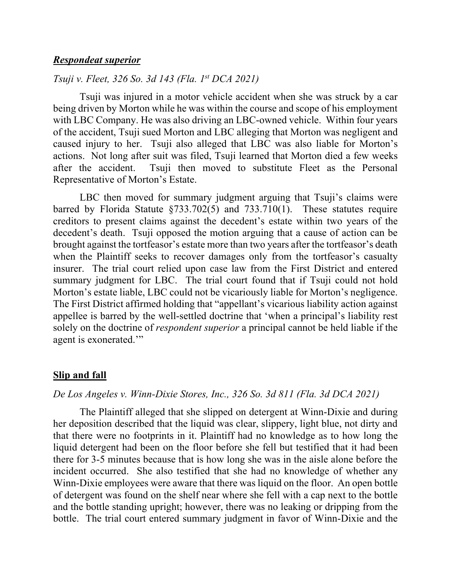## *Respondeat superior*

# *Tsuji v. Fleet, 326 So. 3d 143 (Fla. 1st DCA 2021)*

Tsuji was injured in a motor vehicle accident when she was struck by a car being driven by Morton while he was within the course and scope of his employment with LBC Company. He was also driving an LBC-owned vehicle. Within four years of the accident, Tsuji sued Morton and LBC alleging that Morton was negligent and caused injury to her. Tsuji also alleged that LBC was also liable for Morton's actions. Not long after suit was filed, Tsuji learned that Morton died a few weeks after the accident. Tsuji then moved to substitute Fleet as the Personal Representative of Morton's Estate.

LBC then moved for summary judgment arguing that Tsuji's claims were barred by Florida Statute §733.702(5) and 733.710(1). These statutes require creditors to present claims against the decedent's estate within two years of the decedent's death. Tsuji opposed the motion arguing that a cause of action can be brought against the tortfeasor's estate more than two years after the tortfeasor's death when the Plaintiff seeks to recover damages only from the tortfeasor's casualty insurer. The trial court relied upon case law from the First District and entered summary judgment for LBC. The trial court found that if Tsuji could not hold Morton's estate liable, LBC could not be vicariously liable for Morton's negligence. The First District affirmed holding that "appellant's vicarious liability action against appellee is barred by the well-settled doctrine that 'when a principal's liability rest solely on the doctrine of *respondent superior* a principal cannot be held liable if the agent is exonerated."

#### **Slip and fall**

# *De Los Angeles v. Winn-Dixie Stores, Inc., 326 So. 3d 811 (Fla. 3d DCA 2021)*

The Plaintiff alleged that she slipped on detergent at Winn-Dixie and during her deposition described that the liquid was clear, slippery, light blue, not dirty and that there were no footprints in it. Plaintiff had no knowledge as to how long the liquid detergent had been on the floor before she fell but testified that it had been there for 3-5 minutes because that is how long she was in the aisle alone before the incident occurred. She also testified that she had no knowledge of whether any Winn-Dixie employees were aware that there was liquid on the floor. An open bottle of detergent was found on the shelf near where she fell with a cap next to the bottle and the bottle standing upright; however, there was no leaking or dripping from the bottle. The trial court entered summary judgment in favor of Winn-Dixie and the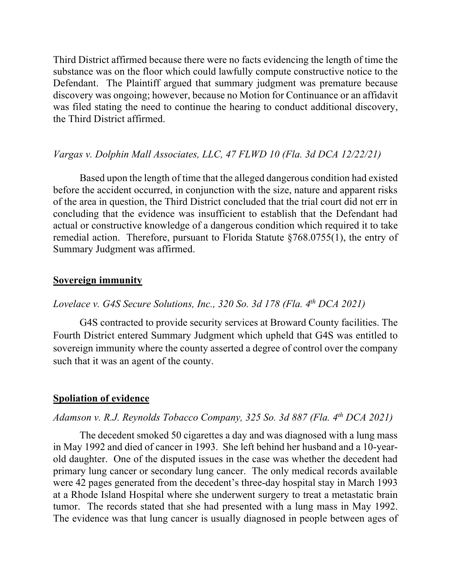Third District affirmed because there were no facts evidencing the length of time the substance was on the floor which could lawfully compute constructive notice to the Defendant. The Plaintiff argued that summary judgment was premature because discovery was ongoing; however, because no Motion for Continuance or an affidavit was filed stating the need to continue the hearing to conduct additional discovery, the Third District affirmed.

# *Vargas v. Dolphin Mall Associates, LLC, 47 FLWD 10 (Fla. 3d DCA 12/22/21)*

Based upon the length of time that the alleged dangerous condition had existed before the accident occurred, in conjunction with the size, nature and apparent risks of the area in question, the Third District concluded that the trial court did not err in concluding that the evidence was insufficient to establish that the Defendant had actual or constructive knowledge of a dangerous condition which required it to take remedial action. Therefore, pursuant to Florida Statute §768.0755(1), the entry of Summary Judgment was affirmed.

## **Sovereign immunity**

# *Lovelace v. G4S Secure Solutions, Inc., 320 So. 3d 178 (Fla. 4th DCA 2021)*

G4S contracted to provide security services at Broward County facilities. The Fourth District entered Summary Judgment which upheld that G4S was entitled to sovereign immunity where the county asserted a degree of control over the company such that it was an agent of the county.

## **Spoliation of evidence**

### *Adamson v. R.J. Reynolds Tobacco Company, 325 So. 3d 887 (Fla. 4th DCA 2021)*

The decedent smoked 50 cigarettes a day and was diagnosed with a lung mass in May 1992 and died of cancer in 1993. She left behind her husband and a 10-yearold daughter. One of the disputed issues in the case was whether the decedent had primary lung cancer or secondary lung cancer. The only medical records available were 42 pages generated from the decedent's three-day hospital stay in March 1993 at a Rhode Island Hospital where she underwent surgery to treat a metastatic brain tumor. The records stated that she had presented with a lung mass in May 1992. The evidence was that lung cancer is usually diagnosed in people between ages of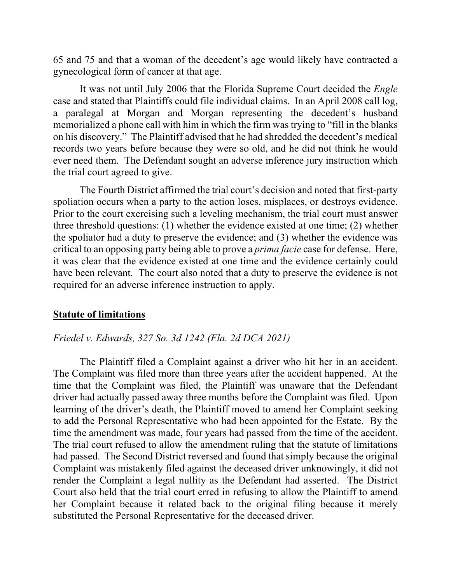65 and 75 and that a woman of the decedent's age would likely have contracted a gynecological form of cancer at that age.

It was not until July 2006 that the Florida Supreme Court decided the *Engle*  case and stated that Plaintiffs could file individual claims. In an April 2008 call log, a paralegal at Morgan and Morgan representing the decedent's husband memorialized a phone call with him in which the firm was trying to "fill in the blanks on his discovery." The Plaintiff advised that he had shredded the decedent's medical records two years before because they were so old, and he did not think he would ever need them. The Defendant sought an adverse inference jury instruction which the trial court agreed to give.

The Fourth District affirmed the trial court's decision and noted that first-party spoliation occurs when a party to the action loses, misplaces, or destroys evidence. Prior to the court exercising such a leveling mechanism, the trial court must answer three threshold questions: (1) whether the evidence existed at one time; (2) whether the spoliator had a duty to preserve the evidence; and (3) whether the evidence was critical to an opposing party being able to prove a *prima facie* case for defense. Here, it was clear that the evidence existed at one time and the evidence certainly could have been relevant. The court also noted that a duty to preserve the evidence is not required for an adverse inference instruction to apply.

#### **Statute of limitations**

#### *Friedel v. Edwards, 327 So. 3d 1242 (Fla. 2d DCA 2021)*

The Plaintiff filed a Complaint against a driver who hit her in an accident. The Complaint was filed more than three years after the accident happened. At the time that the Complaint was filed, the Plaintiff was unaware that the Defendant driver had actually passed away three months before the Complaint was filed. Upon learning of the driver's death, the Plaintiff moved to amend her Complaint seeking to add the Personal Representative who had been appointed for the Estate. By the time the amendment was made, four years had passed from the time of the accident. The trial court refused to allow the amendment ruling that the statute of limitations had passed. The Second District reversed and found that simply because the original Complaint was mistakenly filed against the deceased driver unknowingly, it did not render the Complaint a legal nullity as the Defendant had asserted. The District Court also held that the trial court erred in refusing to allow the Plaintiff to amend her Complaint because it related back to the original filing because it merely substituted the Personal Representative for the deceased driver.